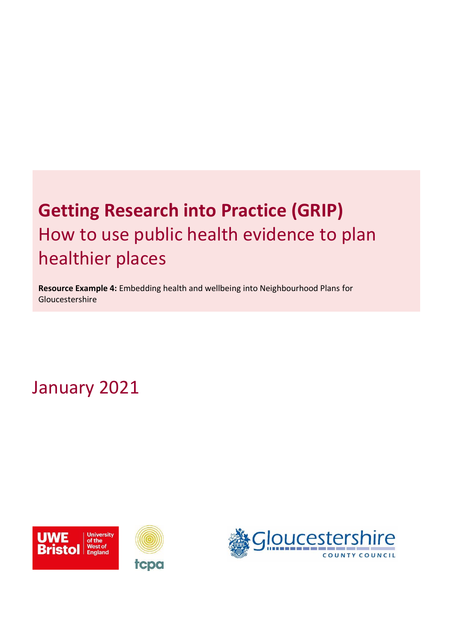# **Getting Research into Practice (GRIP)** How to use public health evidence to plan healthier places

**Resource Example 4:** Embedding health and wellbeing into Neighbourhood Plans for Gloucestershire

January 2021



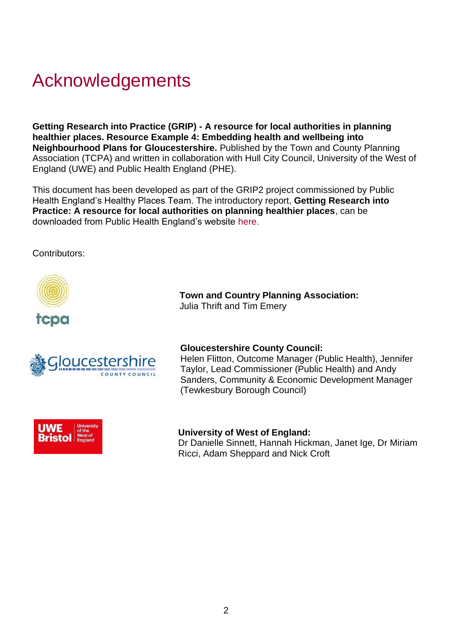## Acknowledgements

**Getting Research into Practice (GRIP) - A resource for local authorities in planning healthier places. Resource Example 4: Embedding health and wellbeing into Neighbourhood Plans for Gloucestershire.** Published by the Town and County Planning Association (TCPA) and written in collaboration with Hull City Council, University of the West of England (UWE) and Public Health England (PHE).

This document has been developed as part of the GRIP2 project commissioned by Public Health England's Healthy Places Team. The introductory report, **Getting Research into Practice: A resource for local authorities on planning healthier places**, can be downloaded from Public Health England's website [here.](https://eur03.safelinks.protection.outlook.com/?url=https%3A%2F%2Fwww.gov.uk%2Fgovernment%2Fpublications%2Fspatial-planning-and-health-getting-research-into-practice-grip&data=04%7C01%7CTim.Emery%40tcpa.org.uk%7Ce0dece1e35814d0c21fa08d8a1a2a06d%7C7c8d1c3e6a2e4c60a232abd20d6e90ad%7C0%7C0%7C637437067133852652%7CUnknown%7CTWFpbGZsb3d8eyJWIjoiMC4wLjAwMDAiLCJQIjoiV2luMzIiLCJBTiI6Ik1haWwiLCJXVCI6Mn0%3D%7C1000&sdata=PoFILiDVhONAcnWJs3q45UTEFGY0FZ2GhRrhWVvxxAA%3D&reserved=0)

Contributors:



 **Town and Country Planning Association:**  Julia Thrift and Tim Emery



#### **Gloucestershire County Council:**

Helen Flitton, Outcome Manager (Public Health), Jennifer Taylor, Lead Commissioner (Public Health) and Andy Sanders, Community & Economic Development Manager (Tewkesbury Borough Council)



#### **University of West of England:**

Dr Danielle Sinnett, Hannah Hickman, Janet Ige, Dr Miriam Ricci, Adam Sheppard and Nick Croft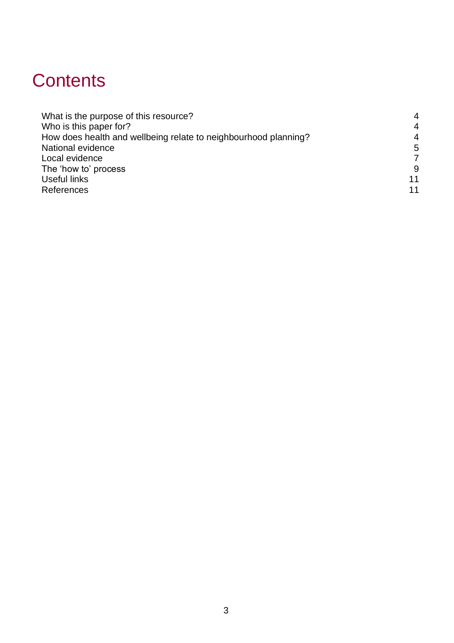## **Contents**

| What is the purpose of this resource?<br>Who is this paper for?<br>How does health and wellbeing relate to neighbourhood planning? | 4<br>$\overline{4}$<br>$\overline{4}$ |                   |   |
|------------------------------------------------------------------------------------------------------------------------------------|---------------------------------------|-------------------|---|
|                                                                                                                                    |                                       | National evidence | 5 |
|                                                                                                                                    |                                       | Local evidence    | 7 |
| The 'how to' process                                                                                                               | 9                                     |                   |   |
| Useful links                                                                                                                       | 11                                    |                   |   |
| References                                                                                                                         | 11                                    |                   |   |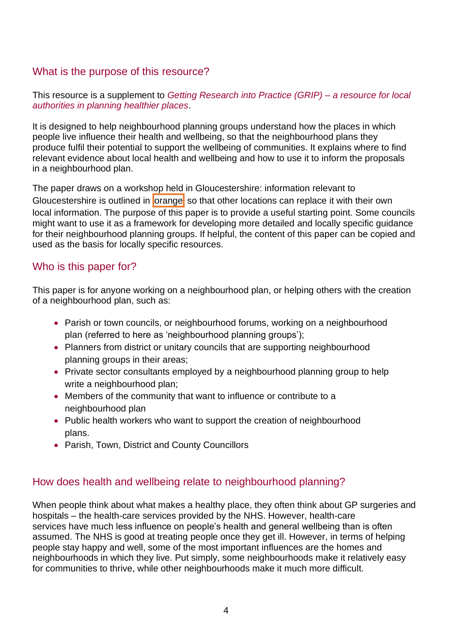## <span id="page-3-0"></span>What is the purpose of this resource?

#### This resource is a supplement to *[Getting Research into Practice \(GRIP\) –](https://eur03.safelinks.protection.outlook.com/?url=https%3A%2F%2Fwww.gov.uk%2Fgovernment%2Fpublications%2Fspatial-planning-and-health-getting-research-into-practice-grip&data=04%7C01%7CTim.Emery%40tcpa.org.uk%7Ce0dece1e35814d0c21fa08d8a1a2a06d%7C7c8d1c3e6a2e4c60a232abd20d6e90ad%7C0%7C0%7C637437067133852652%7CUnknown%7CTWFpbGZsb3d8eyJWIjoiMC4wLjAwMDAiLCJQIjoiV2luMzIiLCJBTiI6Ik1haWwiLCJXVCI6Mn0%3D%7C1000&sdata=PoFILiDVhONAcnWJs3q45UTEFGY0FZ2GhRrhWVvxxAA%3D&reserved=0) a resource for local [authorities in planning healthier places](https://eur03.safelinks.protection.outlook.com/?url=https%3A%2F%2Fwww.gov.uk%2Fgovernment%2Fpublications%2Fspatial-planning-and-health-getting-research-into-practice-grip&data=04%7C01%7CTim.Emery%40tcpa.org.uk%7Ce0dece1e35814d0c21fa08d8a1a2a06d%7C7c8d1c3e6a2e4c60a232abd20d6e90ad%7C0%7C0%7C637437067133852652%7CUnknown%7CTWFpbGZsb3d8eyJWIjoiMC4wLjAwMDAiLCJQIjoiV2luMzIiLCJBTiI6Ik1haWwiLCJXVCI6Mn0%3D%7C1000&sdata=PoFILiDVhONAcnWJs3q45UTEFGY0FZ2GhRrhWVvxxAA%3D&reserved=0)*.

It is designed to help neighbourhood planning groups understand how the places in which people live influence their health and wellbeing, so that the neighbourhood plans they produce fulfil their potential to support the wellbeing of communities. It explains where to find relevant evidence about local health and wellbeing and how to use it to inform the proposals in a neighbourhood plan.

The paper draws on a workshop held in Gloucestershire: information relevant to Gloucestershire is outlined in orange so that other locations can replace it with their own local information. The purpose of this paper is to provide a useful starting point. Some councils might want to use it as a framework for developing more detailed and locally specific guidance for their neighbourhood planning groups. If helpful, the content of this paper can be copied and used as the basis for locally specific resources.

## <span id="page-3-1"></span>Who is this paper for?

This paper is for anyone working on a neighbourhood plan, or helping others with the creation of a neighbourhood plan, such as:

- Parish or town councils, or neighbourhood forums, working on a neighbourhood plan (referred to here as 'neighbourhood planning groups');
- Planners from district or unitary councils that are supporting neighbourhood planning groups in their areas;
- Private sector consultants employed by a neighbourhood planning group to help write a neighbourhood plan;
- Members of the community that want to influence or contribute to a neighbourhood plan
- Public health workers who want to support the creation of neighbourhood plans.
- Parish, Town, District and County Councillors

## <span id="page-3-2"></span>How does health and wellbeing relate to neighbourhood planning?

When people think about what makes a healthy place, they often think about GP surgeries and hospitals – the health-care services provided by the NHS. However, health-care services have much less influence on people's health and general wellbeing than is often assumed. The NHS is good at treating people once they get ill. However, in terms of helping people stay happy and well, some of the most important influences are the homes and neighbourhoods in which they live. Put simply, some neighbourhoods make it relatively easy for communities to thrive, while other neighbourhoods make it much more difficult.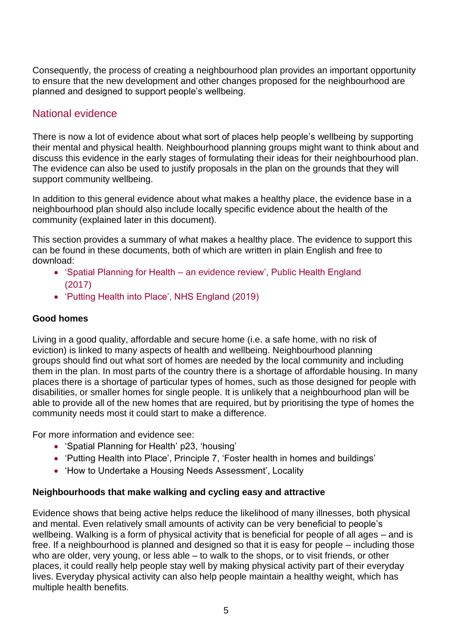Consequently, the process of creating a neighbourhood plan provides an important opportunity to ensure that the new development and other changes proposed for the neighbourhood are planned and designed to support people's wellbeing.

## <span id="page-4-0"></span>National evidence

There is now a lot of evidence about what sort of places help people's wellbeing by supporting their mental and physical health. Neighbourhood planning groups might want to think about and discuss this evidence in the early stages of formulating their ideas for their neighbourhood plan. The evidence can also be used to justify proposals in the plan on the grounds that they will support community wellbeing.

In addition to this general evidence about what makes a healthy place, the evidence base in a neighbourhood plan should also include locally specific evidence about the health of the community (explained later in this document).

This section provides a summary of what makes a healthy place. The evidence to support this can be found in these documents, both of which are written in plain English and free to download:

- 'Spatial Planning for Health an evidence [review', Public Health England](https://www.gov.uk/government/publications/spatial-planning-for-health-evidence-review)  [\(2017\)](https://www.gov.uk/government/publications/spatial-planning-for-health-evidence-review)
- ['Putting Health into Place', NHS England \(2019\)](https://www.england.nhs.uk/ourwork/innovation/healthy-new-towns/)

#### **Good homes**

Living in a good quality, affordable and secure home (i.e. a safe home, with no risk of eviction) is linked to many aspects of health and wellbeing. Neighbourhood planning groups should find out what sort of homes are needed by the local community and including them in the plan. In most parts of the country there is a shortage of affordable housing. In many places there is a shortage of particular types of homes, such as those designed for people with disabilities, or smaller homes for single people. It is unlikely that a neighbourhood plan will be able to provide all of the new homes that are required, but by prioritising the type of homes the community needs most it could start to make a difference.

For more information and evidence see:

- 'Spatial Planning for Health' p23, 'housing'
- 'Putting Health into Place', Principle 7, 'Foster health in homes and buildings'
- 'How to Undertake a Housing Needs Assessment', Locality

#### **Neighbourhoods that make walking and cycling easy and attractive**

Evidence shows that being active helps reduce the likelihood of many illnesses, both physical and mental. Even relatively small amounts of activity can be very beneficial to people's wellbeing. Walking is a form of physical activity that is beneficial for people of all ages – and is free. If a neighbourhood is planned and designed so that it is easy for people – including those who are older, very young, or less able – to walk to the shops, or to visit friends, or other places, it could really help people stay well by making physical activity part of their everyday lives. Everyday physical activity can also help people maintain a healthy weight, which has multiple health benefits.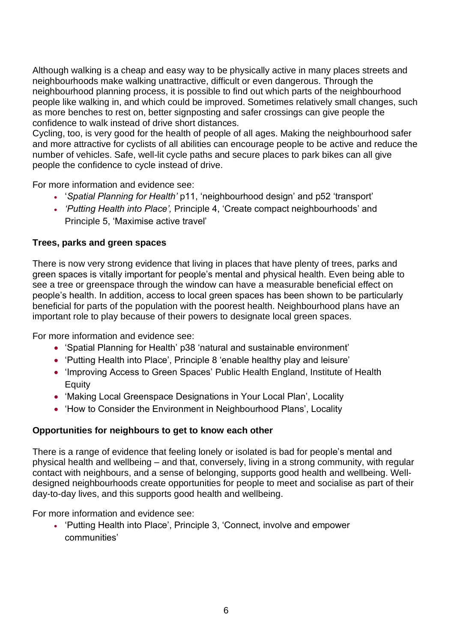Although walking is a cheap and easy way to be physically active in many places streets and neighbourhoods make walking unattractive, difficult or even dangerous. Through the neighbourhood planning process, it is possible to find out which parts of the neighbourhood people like walking in, and which could be improved. Sometimes relatively small changes, such as more benches to rest on, better signposting and safer crossings can give people the confidence to walk instead of drive short distances.

Cycling, too, is very good for the health of people of all ages. Making the neighbourhood safer and more attractive for cyclists of all abilities can encourage people to be active and reduce the number of vehicles. Safe, well-lit cycle paths and secure places to park bikes can all give people the confidence to cycle instead of drive.

For more information and evidence see:

- '*Spatial Planning for Health'* p11, 'neighbourhood design' and p52 'transport'
- *'Putting Health into Place',* Principle 4, 'Create compact neighbourhoods' and Principle 5, 'Maximise active travel'

#### **Trees, parks and green spaces**

There is now very strong evidence that living in places that have plenty of trees, parks and green spaces is vitally important for people's mental and physical health. Even being able to see a tree or greenspace through the window can have a measurable beneficial effect on people's health. In addition, access to local green spaces has been shown to be particularly beneficial for parts of the population with the poorest health. Neighbourhood plans have an important role to play because of their powers to designate local green spaces.

For more information and evidence see:

- 'Spatial Planning for Health' p38 'natural and sustainable environment'
- 'Putting Health into Place', Principle 8 'enable healthy play and leisure'
- 'Improving Access to Green Spaces' Public Health England, Institute of Health Equity
- ['Making Local Greenspace Designations in Your Local Plan', Locality](https://neighbourhoodplanning.org/toolkits-and-guidance/making-local-green-space-designations-neighbourhood-plan/)
- How to Consider the Environment in Neighbourhood Plans', Locality

#### **Opportunities for neighbours to get to know each other**

There is a range of evidence that feeling lonely or isolated is bad for people's mental and physical health and wellbeing – and that, conversely, living in a strong community, with regular contact with neighbours, and a sense of belonging, supports good health and wellbeing. Welldesigned neighbourhoods create opportunities for people to meet and socialise as part of their day-to-day lives, and this supports good health and wellbeing.

For more information and evidence see:

• 'Putting Health into Place', Principle 3, 'Connect, involve and empower communities'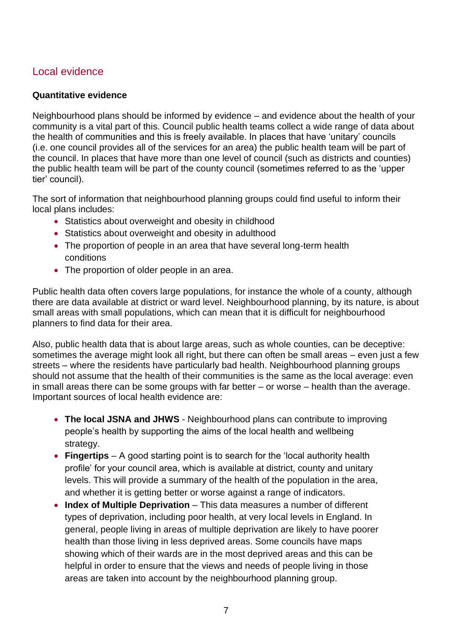## <span id="page-6-0"></span>Local evidence

#### **Quantitative evidence**

Neighbourhood plans should be informed by evidence – and evidence about the health of your community is a vital part of this. Council public health teams collect a wide range of data about the health of communities and this is freely available. In places that have 'unitary' councils (i.e. one council provides all of the services for an area) the public health team will be part of the council. In places that have more than one level of council (such as districts and counties) the public health team will be part of the county council (sometimes referred to as the 'upper tier' council).

The sort of information that neighbourhood planning groups could find useful to inform their local plans includes:

- Statistics about overweight and obesity in childhood
- Statistics about overweight and obesity in adulthood
- The proportion of people in an area that have several long-term health conditions
- The proportion of older people in an area.

Public health data often covers large populations, for instance the whole of a county, although there are data available at district or ward level. Neighbourhood planning, by its nature, is about small areas with small populations, which can mean that it is difficult for neighbourhood planners to find data for their area.

Also, public health data that is about large areas, such as whole counties, can be deceptive: sometimes the average might look all right, but there can often be small areas – even just a few streets – where the residents have particularly bad health. Neighbourhood planning groups should not assume that the health of their communities is the same as the local average: even in small areas there can be some groups with far better – or worse – health than the average. Important sources of local health evidence are:

- **The local JSNA and JHWS** Neighbourhood plans can contribute to improving people's health by supporting the aims of the local health and wellbeing strategy.
- **Fingertips** A good starting point is to search for the 'local authority health profile' for your council area, which is available at district, county and unitary levels. This will provide a summary of the health of the population in the area, and whether it is getting better or worse against a range of indicators.
- **Index of Multiple Deprivation** This data measures a number of different types of deprivation, including poor health, at very local levels in England. In general, people living in areas of multiple deprivation are likely to have poorer health than those living in less deprived areas. Some councils have maps showing which of their wards are in the most deprived areas and this can be helpful in order to ensure that the views and needs of people living in those areas are taken into account by the neighbourhood planning group.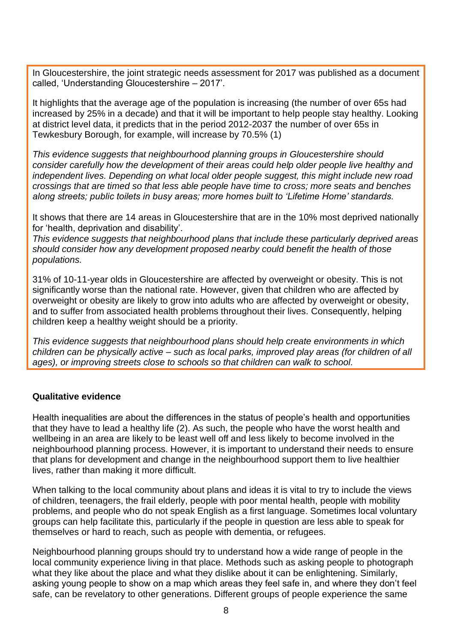In Gloucestershire, the joint strategic needs assessment for 2017 was published as a document called, 'Understanding Gloucestershire – 2017'.

It highlights that the average age of the population is increasing (the number of over 65s had increased by 25% in a decade) and that it will be important to help people stay healthy. Looking at district level data, it predicts that in the period 2012-2037 the number of over 65s in Tewkesbury Borough, for example, will increase by 70.5% [\(1\)](#page-10-2)

*This evidence suggests that neighbourhood planning groups in Gloucestershire should consider carefully how the development of their areas could help older people live healthy and independent lives. Depending on what local older people suggest, this might include new road crossings that are timed so that less able people have time to cross; more seats and benches along streets; public toilets in busy areas; more homes built to 'Lifetime Home' standards.*

It shows that there are 14 areas in Gloucestershire that are in the 10% most deprived nationally for 'health, deprivation and disability'.

*This evidence suggests that neighbourhood plans that include these particularly deprived areas should consider how any development proposed nearby could benefit the health of those populations.*

31% of 10-11-year olds in Gloucestershire are affected by overweight or obesity. This is not significantly worse than the national rate. However, given that children who are affected by overweight or obesity are likely to grow into adults who are affected by overweight or obesity, and to suffer from associated health problems throughout their lives. Consequently, helping children keep a healthy weight should be a priority.

*This evidence suggests that neighbourhood plans should help create environments in which children can be physically active – such as local parks, improved play areas (for children of all ages), or improving streets close to schools so that children can walk to school.*

#### **Qualitative evidence**

Health inequalities are about the differences in the status of people's health and opportunities that they have to lead a healthy life [\(2\).](#page-10-3) As such, the people who have the worst health and wellbeing in an area are likely to be least well off and less likely to become involved in the neighbourhood planning process. However, it is important to understand their needs to ensure that plans for development and change in the neighbourhood support them to live healthier lives, rather than making it more difficult.

When talking to the local community about plans and ideas it is vital to try to include the views of children, teenagers, the frail elderly, people with poor mental health, people with mobility problems, and people who do not speak English as a first language. Sometimes local voluntary groups can help facilitate this, particularly if the people in question are less able to speak for themselves or hard to reach, such as people with dementia, or refugees.

Neighbourhood planning groups should try to understand how a wide range of people in the local community experience living in that place. Methods such as asking people to photograph what they like about the place and what they dislike about it can be enlightening. Similarly, asking young people to show on a map which areas they feel safe in, and where they don't feel safe, can be revelatory to other generations. Different groups of people experience the same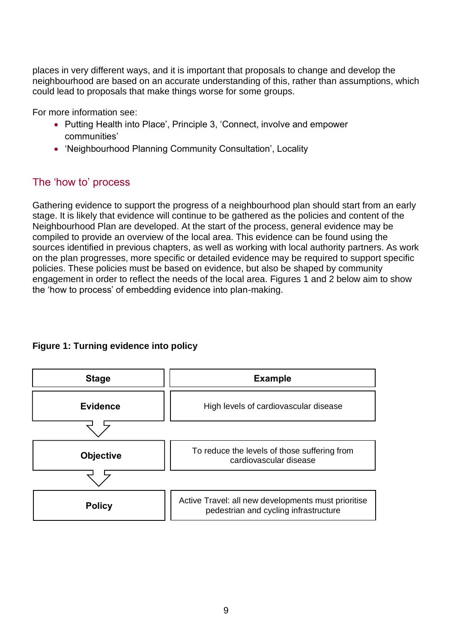places in very different ways, and it is important that proposals to change and develop the neighbourhood are based on an accurate understanding of this, rather than assumptions, which could lead to proposals that make things worse for some groups.

For more information see:

- Putting Health into Place', Principle 3, 'Connect, involve and empower communities'
- 'Neighbourhood Planning Community Consultation', Locality

## <span id="page-8-0"></span>The 'how to' process

Gathering evidence to support the progress of a neighbourhood plan should start from an early stage. It is likely that evidence will continue to be gathered as the policies and content of the Neighbourhood Plan are developed. At the start of the process, general evidence may be compiled to provide an overview of the local area. This evidence can be found using the sources identified in previous chapters, as well as working with local authority partners. As work on the plan progresses, more specific or detailed evidence may be required to support specific policies. These policies must be based on evidence, but also be shaped by community engagement in order to reflect the needs of the local area. Figures 1 and 2 below aim to show the 'how to process' of embedding evidence into plan-making.

#### **Figure 1: Turning evidence into policy**

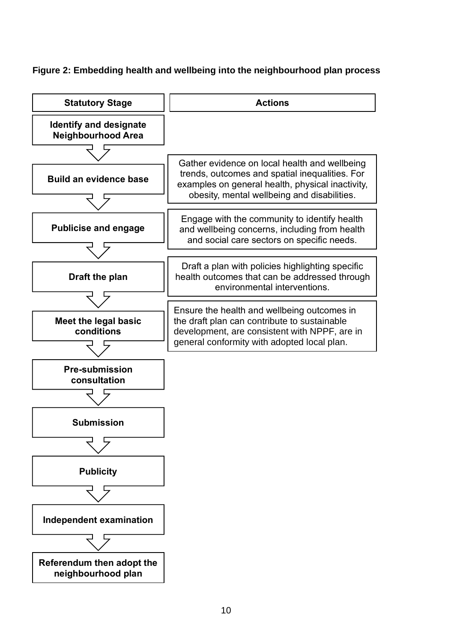### **Figure 2: Embedding health and wellbeing into the neighbourhood plan process**